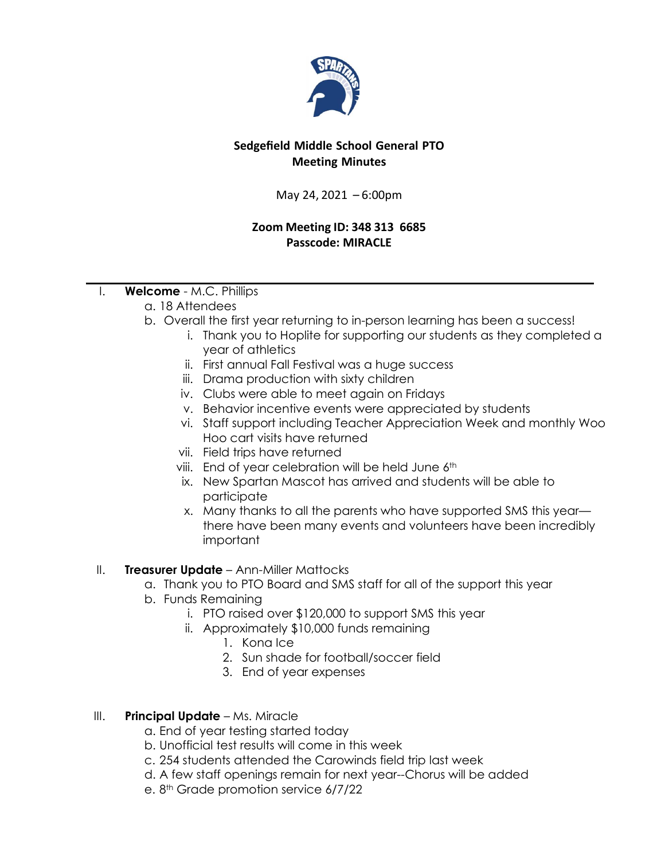

# **Sedgefield Middle School General PTO Meeting Minutes**

May 24, 2021 – 6:00pm

### **Zoom Meeting ID: 348 313 6685 Passcode: MIRACLE**

- I. **Welcome** M.C. Phillips
	- a. 18 Attendees
	- b. Overall the first year returning to in-person learning has been a success!
		- i. Thank you to Hoplite for supporting our students as they completed a year of athletics
		- ii. First annual Fall Festival was a huge success
		- iii. Drama production with sixty children
		- iv. Clubs were able to meet again on Fridays
		- v. Behavior incentive events were appreciated by students
		- vi. Staff support including Teacher Appreciation Week and monthly Woo Hoo cart visits have returned
		- vii. Field trips have returned
		- viii. End of year celebration will be held June 6<sup>th</sup>
		- ix. New Spartan Mascot has arrived and students will be able to participate
		- x. Many thanks to all the parents who have supported SMS this year there have been many events and volunteers have been incredibly important

# II. **Treasurer Update** – Ann-Miller Mattocks

- a. Thank you to PTO Board and SMS staff for all of the support this year
- b. Funds Remaining
	- i. PTO raised over \$120,000 to support SMS this year
	- ii. Approximately \$10,000 funds remaining
		- 1. Kona Ice
		- 2. Sun shade for football/soccer field
		- 3. End of year expenses

# III. **Principal Update** – Ms. Miracle

- a. End of year testing started today
- b. Unofficial test results will come in this week
- c. 254 students attended the Carowinds field trip last week
- d. A few staff openings remain for next year--Chorus will be added
- e.  $8<sup>th</sup>$  Grade promotion service  $6/7/22$